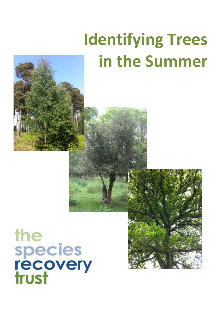## **Identifying Trees in the Summer**



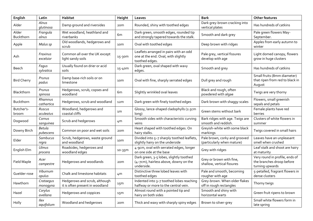| English             | Latin                    | Habitat                                                          | Height          | Leaves                                                                                          | <b>Bark</b>                                                 | <b>Other features</b>                                                          |
|---------------------|--------------------------|------------------------------------------------------------------|-----------------|-------------------------------------------------------------------------------------------------|-------------------------------------------------------------|--------------------------------------------------------------------------------|
| Alder               | Alnus<br>glutinosa       | Damp ground and riversides                                       | 20 <sub>m</sub> | Rounded, shiny with toothed edges                                                               | Dark grey-brown cracking into<br>vertical plates            | Has hundreds of catkins                                                        |
| Alder<br>Buckthorn  | Frangula<br>alnus        | Wet woodland, heathland and<br>riverbanks                        | 6 <sub>m</sub>  | Dark green, smooth edges, rounded tip<br>and strongly tapered towards the stalk.                | Smooth and dark grey                                        | Pale green flowers May-<br>September.                                          |
| Apple               | Malus sp                 | Old woodlands, hedgerows and<br>scrub                            | 10 <sub>m</sub> | Oval with toothed edges                                                                         | Deep brown with ridges                                      | Apples from early autumn to<br>winter                                          |
| Ash                 | Fraxinus<br>excelsior    | Common all over the UK except<br>light sandy soils               | 15-30m          | Leaflets arranged in pairs with an odd<br>one at the end. Oval, with slightly<br>toothed edges. | Pale grey, vertical fissures<br>develop with age            | Light domed canopy, flowers<br>grow in huge clusters                           |
| Beech               | Fagus<br>sylvatica       | Usually found on drier or acid<br>soils                          | 15-40m          | Dark green, oval shaped with wavy<br>edges.                                                     | Smooth and grey                                             | Has hundreds of catkins                                                        |
| <b>Bird Cherry</b>  | Prunus<br>padus          | Damp base-rich soils or on<br>limestone                          | 10 <sub>m</sub> | Oval with fine, sharply serrated edges                                                          | Dull grey and rough                                         | Small fruits (8mm diameter)<br>that ripen from red to black in<br>August       |
| Blackthorn          | Prunus<br>spinosa        | Hedgerows, scrub, copses and<br>woodland                         | 6 <sub>m</sub>  | Slightly wrinkled oval leaves                                                                   | Black and rough, often<br>powdered with algae               | Twigs are very thorny                                                          |
| Buckthorn           | Rhamnus<br>cathartica    | Hedgerows, scrub and woodland                                    | 12 <sub>m</sub> | Dark green with finely toothed edges                                                            | Dark brown with shaggy scales                               | Flowers, small greenish<br>sepals and petals                                   |
| Butcher's-<br>broom | Ruscus<br>aculeatus      | Woodland, hedgerows and<br>coastal cliffs                        | 1 <sub>m</sub>  | Glossy, lance-shaped cladophylls (2.5cm<br>long)                                                | Green stems without bark                                    | Female plants have red<br>berries                                              |
| Dogwood             | Cornus<br>sanguinea      | Scrub and hedgerows                                              | 4 <sub>m</sub>  | Smooth sides with characteristic curving<br>veins                                               | Bark ridges with age. Twigs are<br>smooth and reddish.      | Clusters of white flowers in<br>summer                                         |
| Downy Birch         | Betula<br>pubescens      | Common on poor and wet soils                                     | 20 <sub>m</sub> | Heart shaped with toothed edges. On<br>hairy stalks.                                            | Greyish-white with some black<br>markings                   | Twigs covered in small hairs                                                   |
| Elder               | <b>Sambucus</b><br>nigra | Scrub, hedgerows, waste ground<br>and woodland                   | 10 <sub>m</sub> | Divided into 5-7 sharply toothed leaflets,<br>slightly hairy on the underside                   | Pale brown, corky and grooved<br>(particularly when mature) | Leaves have an unpleasant<br>smell when crushed                                |
| English Elm         | Ulmus<br>procera         | Roadsides, hedgerows and<br>woodland edges                       | 10-35m          | 4-9cm, oval with serrated edges, longer<br>on one side at the base                              | Grey with ridges                                            | Leaf stalk and shoot are hairy<br>at maturity                                  |
| Field Maple         | Acer<br>campestre        | Hedgerows and woodlands                                          | 20 <sub>m</sub> | Dark green, 3-5 lobes, slightly toothed<br>(4-7cm), hairless above, downy on the<br>underside.  | Grey or brown with fine,<br>shallow, vertical fissures      | Very round in profile, ends of<br>the branches droop before<br>turning upwards |
| Guelder-rose        | Viburnum<br>opulus       | Chalk and limestone habitats                                     | 4 <sub>m</sub>  | Distinctive three lobed leaves with<br>toothed edges                                            | Pale and smooth, becoming<br>rougher with age               | 5-petalled, fragrant flowers in<br>dense clusters                              |
| Hawthorn            | Crataegus<br>monogyna    | Hedgerows and scrub, although<br>it is often present in woodland | 15m             | Indented into 3-7 toothed lobes reaching<br>halfway or more to the central vein.                | Grey-brown. When older flakes<br>off in rough rectangles    | Thorny twigs                                                                   |
| Hazel               | Corylus<br>avellana      | Hedgerows and coppices                                           | 15m             | Almost round with a pointed tip and<br>hairy on both sides                                      | Smooth and shiny with<br>horizontal warts                   | Green fruit ripens to brown                                                    |
| Holly               | Ilex<br>aquifolium       | Woodland and hedgerows                                           | 20 <sub>m</sub> | Thick and waxy with sharply spiny edges                                                         | Brown to silver-grey                                        | Small white flowers form in<br>late spring                                     |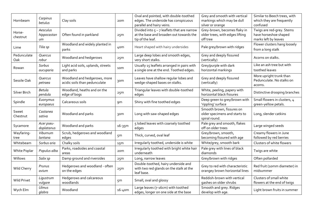| Hornbeam           | Carpinus<br>betulus           | Clay soils                                                    | 20 <sub>m</sub> | Oval and pointed, with double-toothed<br>edges. The underside has conspicuous<br>parallel and hairy veins.   | Grey and smooth with vertical<br>markings which may be dull<br>silver or orange | Similar to Beech trees, with<br>which they are frequently<br>confused      |
|--------------------|-------------------------------|---------------------------------------------------------------|-----------------|--------------------------------------------------------------------------------------------------------------|---------------------------------------------------------------------------------|----------------------------------------------------------------------------|
| Horse-<br>chestnut | Aesculus<br>hippocastan<br>иm | Often found in parkland                                       | 25m             | Divided into $5 - 7$ leaflets that are narrow<br>at the base and broaden out towards the<br>tip of the leaf. | Grey-brown, becomes flaky in<br>older trees, with edges lifting<br>off tree     | Twigs are red-grey. Stems<br>have horseshoe shaped<br>marks left by leaves |
| Lime               | Tilia sp                      | Woodland and widely planted in<br>parks                       | 40 <sub>m</sub> | Heart shaped with hairy undersides                                                                           | Pale grey/brown with ridges                                                     | Flower clusters hang loosely<br>from a long stalk                          |
| Pedunculate<br>Oak | Quercus<br>robur              | Woodland and hedgerows                                        | 25m             | Large deep lobes and smooth edges,<br>very short stalks.                                                     | Grey and deeply fissured<br>(vertically)                                        | Acorns on stalks.                                                          |
| Rowan              | Sorbus<br>aucuparia           | Light acid soils, uplands, streets<br>and parks               | 10 <sub>m</sub> | Usually 15 leaflets arranged in pairs with<br>a single one at the end. Toothed edges.                        | Grey/purple with dark<br>horizontal markings                                    | Like an ash tree but with<br>toothed leaves                                |
| Sessile Oak        | Quercus<br>petraea            | Woodland and hedgerows, more<br>acidic soils than pedunculate | 30 <sub>m</sub> | Leaves have shallow regular lobes and<br>wedge-shaped bases on stalks.                                       | Grey and deeply fissured<br>(vertically)                                        | More upright trunk than<br>Pedunculate. No stalks on<br>acorns.            |
| Silver Birch       | Betula<br>pendula             | Woodland, heaths and on the<br>edge of bogs                   | 25m             | Triangular leaves with double-toothed<br>edges                                                               | White, peeling, papery with<br>horizontal black fissures                        | Distinctive drooping branches                                              |
| Spindle            | Euonymus<br>europaeus         | Calcareous soils                                              | 9m              | Shiny with fine toothed edges                                                                                | Deep green to grey/brown with<br>'rippling' surface                             | Small flowers in clusters, 4<br>green-yellow petals.                       |
| Sweet<br>Chestnut  | Castanea<br>sativa            | Woodland and parks                                            | 30 <sub>m</sub> | Long with saw-shaped edges                                                                                   | Smooth brown, fissures on<br>older specimens and starts to<br>spiral round.     | Long, slender catkins                                                      |
| Sycamore           | Acer pseu-<br>doplatanus      | Woodland and parks                                            | 16-35m          | 5 lobed leaves with coarsely toothed<br>edges                                                                | Pale grey and smooth, flakes<br>off on older trees                              | Large winged seeds                                                         |
| Wayfaring-<br>tree | Viburnum<br>lantana           | Scrub, hedgerows and woodland<br>edges                        | 5 <sub>m</sub>  | Thick, curved, oval leaf                                                                                     | Grey/brown, smooth,<br>becoming fissured with age                               | Creamy flowers in June<br>followed by red berries                          |
| Whitebeam          | Sorbus aria                   | Chalky soils                                                  | 15m             | Irregularly toothed, underside is white                                                                      | White/grey, smooth bark                                                         | Clusters of white flowers                                                  |
| White Poplar       | Populus alba                  | Parks, roadsides and coastal<br>areas                         | 20 <sub>m</sub> | Irregularly toothed with bright white hair<br>underneath                                                     | Pale grey with lines of black<br>diamonds                                       | Twigs are white                                                            |
| Willows            | Salix sp                      | Damp ground and riversides                                    | 25m             | Long, narrow leaves                                                                                          | Grey/brown with ridges                                                          | Often pollarded                                                            |
| Wild Cherry        | Prunus<br>avium               | Hedgerows and woodland - often<br>on the edges                | 25m             | Double-toothed, hairy underside and<br>with two red glands on the stalk at the<br>leaf base.                 | Grey to red with characteristic<br>orangey brown horizontal lines               | Red fruit (10mm diameter) in<br>midsummer                                  |
| Wild Privet        | Ligustrum<br>vulgare          | Hedgerows and calcareous<br>woodlands                         | 5 <sub>m</sub>  | Small, oval and glossy                                                                                       | Reddish-brown with vertical<br>gashes on older shrubs                           | Clusters of small white<br>flowers at the end of twigs                     |
| Wych Elm           | Ulmus<br>glabra               | Woodland                                                      | 16-40m          | Large leaves (7-16cm) with toothed<br>edges, longer on one side at the base                                  | Smooth and grey. Ridges<br>develop with age.                                    | Light brown fruits in summer                                               |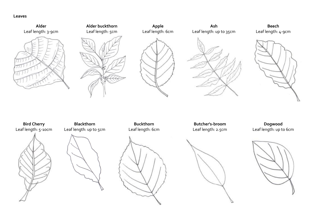**Leaves**

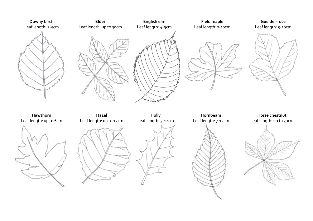





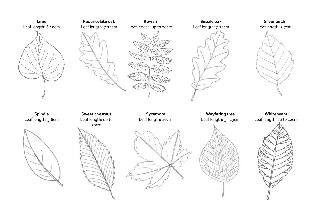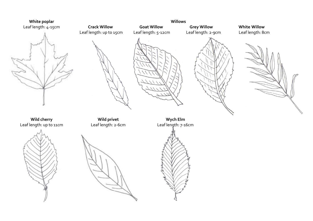